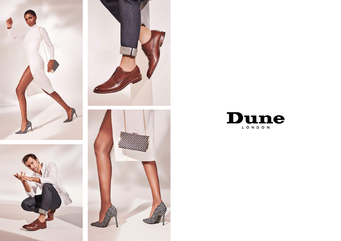



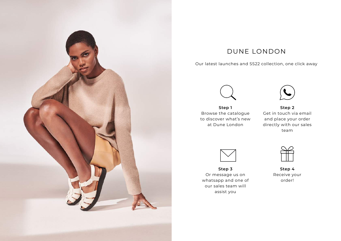

## DUNE LONDON

## Our latest launches and SS22 collection, one click away



**Step 1** Browse the catalogue to discover what's new at Dune London



**Step 2** Get in touch via email and place your order directly with our sales team



**Step 3** Or message us on whatsapp and one of our sales team will assist you



**Step 4** Receive your order!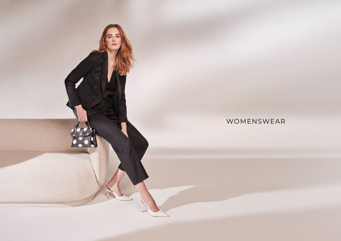<span id="page-2-0"></span>

## WOMENSWEAR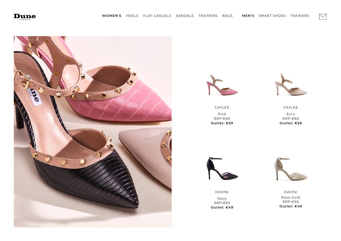<span id="page-3-0"></span>







CAYLEE Pink RRP:€80 **Outlet: €59**

CAYLEE Ecru RRP:€80 **Outlet: €59**



DAVINI Navy RRP:€65 **Outlet: €49**



DAVINI Rose Gold RRP:€65 **Outlet: €49**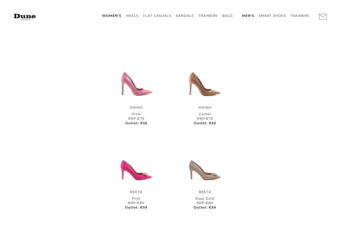



AMINA Pink RRP:€75 **Outlet: €55**



AMINA Camel RRP:€75 **Outlet: €55**



BEETA Pink RRP:€80 **Outlet: €59**



BEETA Rose Gold RRP:€80 **Outlet: €59**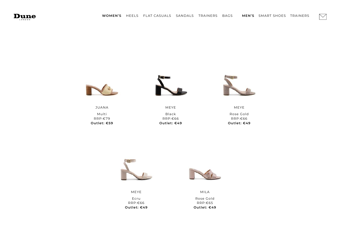



JUANA Multi RRP:€79 **Outlet: €59**



MEYE Black RRP:€66 **Outlet: €49**



 $\boxtimes$ 

MEYE Rose Gold RRP:€66 **Outlet: €49**



MEYE Ecru RRP:€66 **Outlet: €49**



MILA Rose Gold RRP:€65 **Outlet: €49**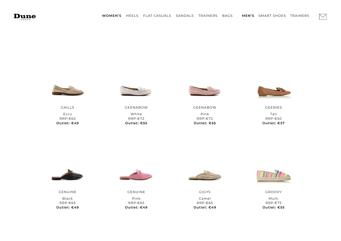<span id="page-6-0"></span>



GAILLS Ecru RRP:€65 **Outlet: €49**



GEENABOW White RRP:€72 **Outlet: €55**



GEENABOW Pink RRP:€72 **Outlet: €55**



 $\bigvee$ 

GEENIES Tan RRP:€50 **Outlet: €37**

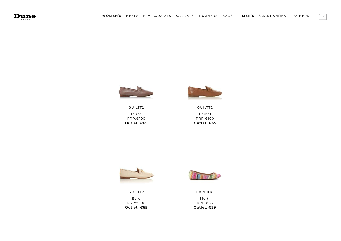

 $\bigtriangledown$ 



GUILTT2 Taupe RRP:€100 **Outlet: €65**



GUILTT2 Camel RRP:€100 **Outlet: €65**



GUILTT2 Ecru RRP:€100 **Outlet: €65**



HARPING Multi RRP:€55 **Outlet: €39**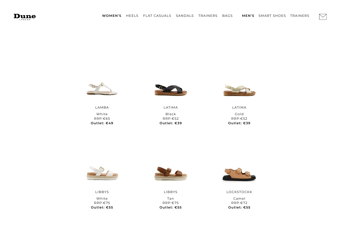<span id="page-8-0"></span>



LAMBA White RRP:€65 **Outlet: €49**





 $\bigvee$ 

LATIMA Black RRP:€52 **Outlet: €39**

LATIMA Gold RRP:€52 **Outlet: €39**



LIBBYS White RRP:€75 **Outlet: €55**



LIBBYS Tan RRP:€75 **Outlet: €55**



LOCKSTOCKK Camel RRP:€72 **Outlet: €55**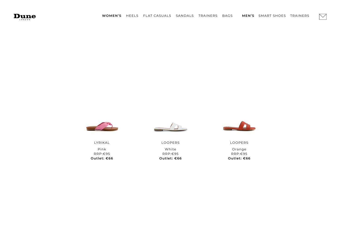







LOOPERS

Orange RRP:€95 **Outlet: €66**

LYRIKAL

Pink RRP:€95 **Outlet: €66** LOOPERS

White RRP:€95 **Outlet: €66**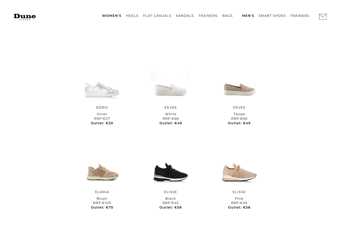<span id="page-10-0"></span>



EDRIS Silver RRP:€27 **Outlet: €20**



**Outlet: €49**



 $\bigtriangledown$ 

EEVEE Taupe RRP:€66 **Outlet: €49**



ELARIA Blush RRP:€105 **Outlet: €75**



ELISSE Black RRP:€45 **Outlet: €58**



ELISSE Pink RRP:€45 **Outlet: €58**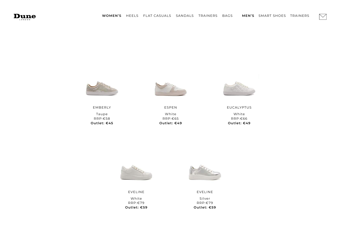



EMBERLY Taupe RRP:€58 **Outlet: €45**



ESPEN White RRP:€65 **Outlet: €49**



 $\bigvee$ 

EUCALYPTUS White RRP:€66 **Outlet: €49**



EVELINE White RRP:€79 **Outlet: €59**



EVELINE Silver RRP:€79 **Outlet: €59**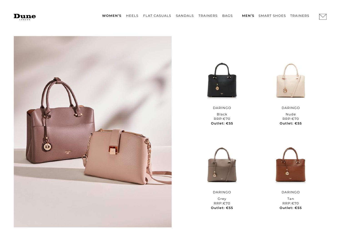<span id="page-12-0"></span>







DARINGO Black RRP:€70 **Outlet: €55**

DARINGO Nude RRP:€70 **Outlet: €55**





DARINGO Grey RRP:€70 **Outlet: €55**

DARINGO Tan RRP:€70 **Outlet: €55**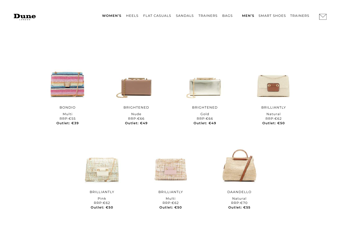



BONDIO Multi RRP:€55 **Outlet: €39**



BRIGHTENED Nude RRP:€66 **Outlet: €49**



BRIGHTENED Gold RRP:€66 **Outlet: €49**



 $\bigvee$ 

BRILLIANTLY Natural RRP:€62 **Outlet: €50**



BRILLIANTLY Pink RRP:€62 **Outlet: €50**



BRILLIANTLY Multi RRP:€62 **Outlet: €50**



DAANDELLO Natural RRP:€70 **Outlet: €55**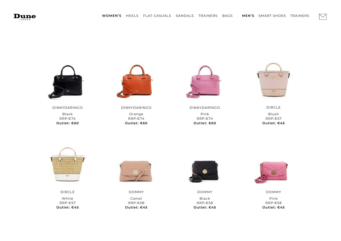



DINKYDARINGO Black RRP:€74 **Outlet: €60**



DINKYDARINGO Orange RRP:€74 **Outlet: €60**



DINKYDARINGO Pink RRP:€74 **Outlet: €60**



 $\bigtriangledown$ 

DIRCLE Blush RRP:€57 **Outlet: €45**



DIRCLE White RRP:€57 **Outlet: €45**



DOMMY Camel RRP:€58 **Outlet: €45**



DOMMY Black RRP:€58 **Outlet: €45**



DOMMY Pink RRP:€58 **Outlet: €45**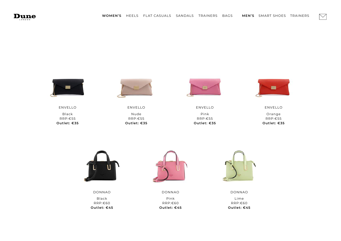



ENVELLO Black RRP:€55 **Outlet: €35**



ENVELLO Nude RRP:€55 **Outlet: €35**



ENVELLO Pink RRP:€55 **Outlet: €35**



 $\bigtriangledown$ 

ENVELLO Orange RRP:€55 **Outlet: €35**



DONNAO Black RRP:€60 **Outlet: €45**



DONNAO Pink RRP:€60 **Outlet: €45**



DONNAO Lime RRP:€60 **Outlet: €45**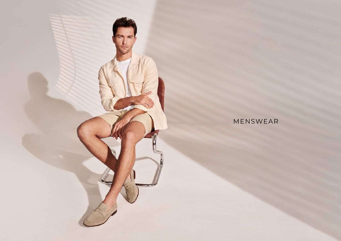## <span id="page-16-0"></span>MENSWEAR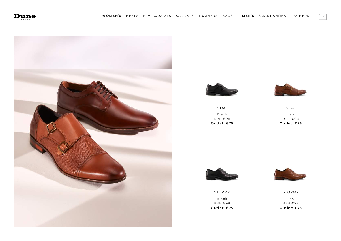<span id="page-17-0"></span>







STAG Black RRP:€98 **Outlet: €75**

STAG Tan RRP:€98 **Outlet: €75**





STORMY Black RRP:€98 **Outlet: €75**

STORMY Tan RRP:€98 **Outlet: €75**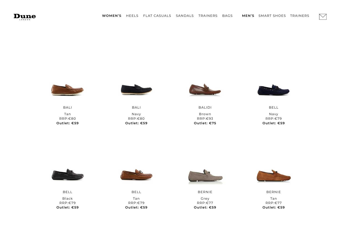



BALI Tan RRP:€80 **Outlet: €59**





BALIDI Brown RRP:€93 **Outlet: €75**



 $\bigtriangledown$ 

BELL Navy RRP:€79 **Outlet: €59**

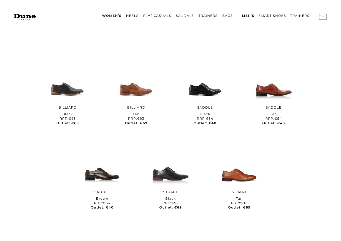



BILLIARD Black RRP:€93 **Outlet: €69**

**Outlet: €40**



BILLIARD Tan RRP:€93 **Outlet: €69**



SADDLE Black RRP:€54 **Outlet: €40**

**Outlet: €69**



 $\bigtriangledown$ 

SADDLE Tan RRP:€54 **Outlet: €40**



**Outlet: €69**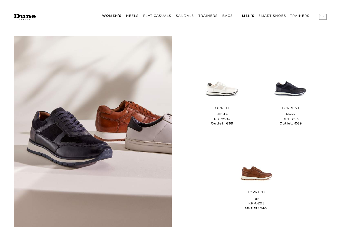<span id="page-20-0"></span>







TORRENT White RRP:€93 **Outlet: €69**

TORRENT Navy RRP:€93 **Outlet: €69**



TORRENT Tan RRP:€93 **Outlet: €69**